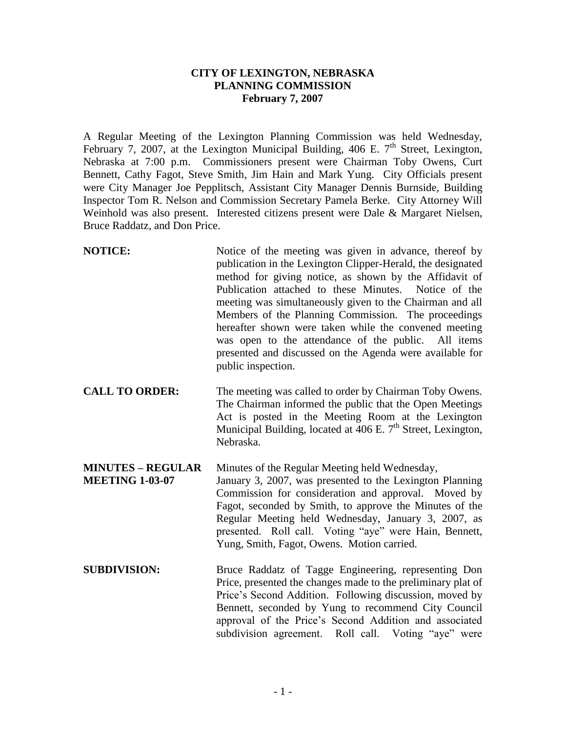## **CITY OF LEXINGTON, NEBRASKA PLANNING COMMISSION February 7, 2007**

A Regular Meeting of the Lexington Planning Commission was held Wednesday, February 7, 2007, at the Lexington Municipal Building, 406 E.  $7<sup>th</sup>$  Street, Lexington, Nebraska at 7:00 p.m. Commissioners present were Chairman Toby Owens, Curt Bennett, Cathy Fagot, Steve Smith, Jim Hain and Mark Yung. City Officials present were City Manager Joe Pepplitsch, Assistant City Manager Dennis Burnside, Building Inspector Tom R. Nelson and Commission Secretary Pamela Berke. City Attorney Will Weinhold was also present. Interested citizens present were Dale & Margaret Nielsen, Bruce Raddatz, and Don Price.

- **NOTICE:** Notice of the meeting was given in advance, thereof by publication in the Lexington Clipper-Herald, the designated method for giving notice, as shown by the Affidavit of Publication attached to these Minutes. Notice of the meeting was simultaneously given to the Chairman and all Members of the Planning Commission. The proceedings hereafter shown were taken while the convened meeting was open to the attendance of the public. All items presented and discussed on the Agenda were available for public inspection.
- **CALL TO ORDER:** The meeting was called to order by Chairman Toby Owens. The Chairman informed the public that the Open Meetings Act is posted in the Meeting Room at the Lexington Municipal Building, located at  $\overline{406}$  E. 7<sup>th</sup> Street, Lexington, Nebraska.

**MINUTES – REGULAR** Minutes of the Regular Meeting held Wednesday, **MEETING 1-03-07** January 3, 2007, was presented to the Lexington Planning Commission for consideration and approval. Moved by Fagot, seconded by Smith, to approve the Minutes of the Regular Meeting held Wednesday, January 3, 2007, as presented. Roll call. Voting "aye" were Hain, Bennett, Yung, Smith, Fagot, Owens. Motion carried.

**SUBDIVISION:** Bruce Raddatz of Tagge Engineering, representing Don Price, presented the changes made to the preliminary plat of Price's Second Addition. Following discussion, moved by Bennett, seconded by Yung to recommend City Council approval of the Price's Second Addition and associated subdivision agreement. Roll call. Voting "aye" were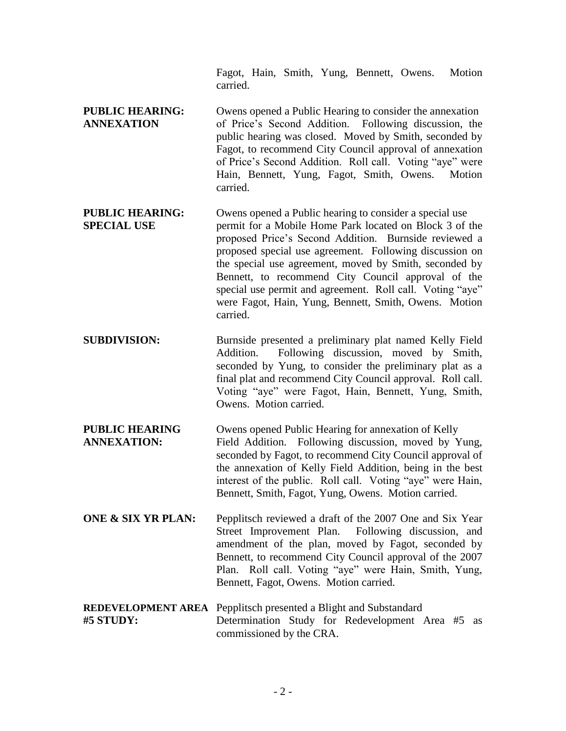Fagot, Hain, Smith, Yung, Bennett, Owens. Motion carried.

- **PUBLIC HEARING:** Owens opened a Public Hearing to consider the annexation **ANNEXATION** of Price's Second Addition. Following discussion, the public hearing was closed. Moved by Smith, seconded by Fagot, to recommend City Council approval of annexation of Price's Second Addition. Roll call. Voting "aye" were Hain, Bennett, Yung, Fagot, Smith, Owens. Motion carried.
- **PUBLIC HEARING:** Owens opened a Public hearing to consider a special use **SPECIAL USE** permit for a Mobile Home Park located on Block 3 of the proposed Price's Second Addition. Burnside reviewed a proposed special use agreement. Following discussion on the special use agreement, moved by Smith, seconded by Bennett, to recommend City Council approval of the special use permit and agreement. Roll call. Voting "aye" were Fagot, Hain, Yung, Bennett, Smith, Owens. Motion carried.
- **SUBDIVISION:** Burnside presented a preliminary plat named Kelly Field Addition. Following discussion, moved by Smith, seconded by Yung, to consider the preliminary plat as a final plat and recommend City Council approval. Roll call. Voting "aye" were Fagot, Hain, Bennett, Yung, Smith, Owens. Motion carried.
- **PUBLIC HEARING** Owens opened Public Hearing for annexation of Kelly **ANNEXATION:** Field Addition. Following discussion, moved by Yung, seconded by Fagot, to recommend City Council approval of the annexation of Kelly Field Addition, being in the best interest of the public. Roll call. Voting "aye" were Hain, Bennett, Smith, Fagot, Yung, Owens. Motion carried.
- **ONE & SIX YR PLAN:** Pepplitsch reviewed a draft of the 2007 One and Six Year Street Improvement Plan. Following discussion, and amendment of the plan, moved by Fagot, seconded by Bennett, to recommend City Council approval of the 2007 Plan. Roll call. Voting "aye" were Hain, Smith, Yung, Bennett, Fagot, Owens. Motion carried.
- **REDEVELOPMENT AREA** Pepplitsch presented a Blight and Substandard **#5 STUDY:** Determination Study for Redevelopment Area #5 as commissioned by the CRA.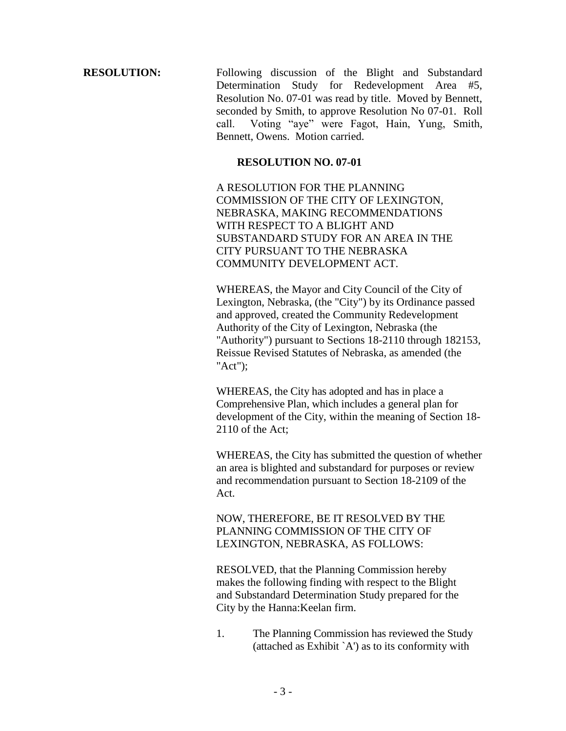**RESOLUTION:** Following discussion of the Blight and Substandard Determination Study for Redevelopment Area #5, Resolution No. 07-01 was read by title. Moved by Bennett, seconded by Smith, to approve Resolution No 07-01. Roll call. Voting "aye" were Fagot, Hain, Yung, Smith, Bennett, Owens. Motion carried.

## **RESOLUTION NO. 07-01**

A RESOLUTION FOR THE PLANNING COMMISSION OF THE CITY OF LEXINGTON, NEBRASKA, MAKING RECOMMENDATIONS WITH RESPECT TO A BLIGHT AND SUBSTANDARD STUDY FOR AN AREA IN THE CITY PURSUANT TO THE NEBRASKA COMMUNITY DEVELOPMENT ACT.

WHEREAS, the Mayor and City Council of the City of Lexington, Nebraska, (the "City") by its Ordinance passed and approved, created the Community Redevelopment Authority of the City of Lexington, Nebraska (the "Authority") pursuant to Sections 18-2110 through 182153, Reissue Revised Statutes of Nebraska, as amended (the "Act");

WHEREAS, the City has adopted and has in place a Comprehensive Plan, which includes a general plan for development of the City, within the meaning of Section 18- 2110 of the Act;

WHEREAS, the City has submitted the question of whether an area is blighted and substandard for purposes or review and recommendation pursuant to Section 18-2109 of the Act.

NOW, THEREFORE, BE IT RESOLVED BY THE PLANNING COMMISSION OF THE CITY OF LEXINGTON, NEBRASKA, AS FOLLOWS:

RESOLVED, that the Planning Commission hereby makes the following finding with respect to the Blight and Substandard Determination Study prepared for the City by the Hanna:Keelan firm.

1. The Planning Commission has reviewed the Study (attached as Exhibit `A') as to its conformity with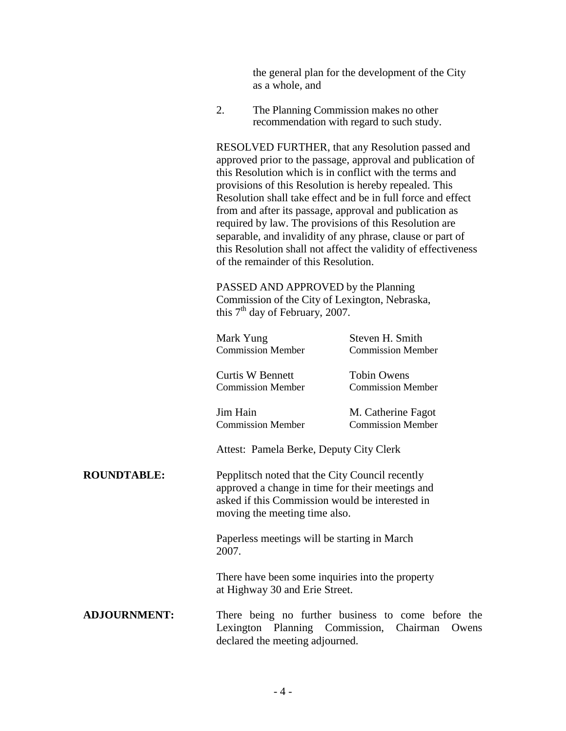the general plan for the development of the City as a whole, and

2. The Planning Commission makes no other recommendation with regard to such study.

RESOLVED FURTHER, that any Resolution passed and approved prior to the passage, approval and publication of this Resolution which is in conflict with the terms and provisions of this Resolution is hereby repealed. This Resolution shall take effect and be in full force and effect from and after its passage, approval and publication as required by law. The provisions of this Resolution are separable, and invalidity of any phrase, clause or part of this Resolution shall not affect the validity of effectiveness of the remainder of this Resolution.

PASSED AND APPROVED by the Planning Commission of the City of Lexington, Nebraska, this  $7<sup>th</sup>$  day of February, 2007.

| Mark Yung                                                                                                                                                                                                                         | Steven H. Smith          |
|-----------------------------------------------------------------------------------------------------------------------------------------------------------------------------------------------------------------------------------|--------------------------|
| <b>Commission Member</b>                                                                                                                                                                                                          | <b>Commission Member</b> |
| Curtis W Bennett                                                                                                                                                                                                                  | <b>Tobin Owens</b>       |
| <b>Commission Member</b>                                                                                                                                                                                                          | <b>Commission Member</b> |
| Jim Hain                                                                                                                                                                                                                          | M. Catherine Fagot       |
| <b>Commission Member</b>                                                                                                                                                                                                          | <b>Commission Member</b> |
| Attest: Pamela Berke, Deputy City Clerk                                                                                                                                                                                           |                          |
| Pepplitsch noted that the City Council recently                                                                                                                                                                                   |                          |
| approved a change in time for their meetings and<br>asked if this Commission would be interested in                                                                                                                               |                          |
| moving the meeting time also.                                                                                                                                                                                                     |                          |
| Paperless meetings will be starting in March                                                                                                                                                                                      |                          |
| 2007.                                                                                                                                                                                                                             |                          |
| $\mathbf{r}$ , and the contract of the contract of the contract of the contract of the contract of the contract of the contract of the contract of the contract of the contract of the contract of the contract of the contract o |                          |

There have been some inquiries into the property at Highway 30 and Erie Street.

## **ADJOURNMENT:** There being no further business to come before the Lexington Planning Commission, Chairman Owens declared the meeting adjourned.

**ROUNDTABLE:**